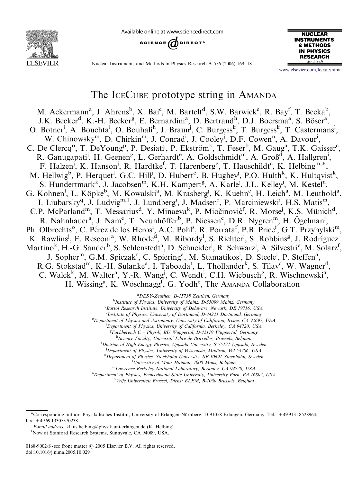

Available online at www.sciencedirect.com





Nuclear Instruments and Methods in Physics Research A 556 (2006) 169–181

<www.elsevier.com/locate/nima>

# The ICECUBE prototype string in AMANDA

M. Ackermann<sup>a</sup>, J. Ahrens<sup>b</sup>, X. Bai<sup>c</sup>, M. Bartelt<sup>d</sup>, S.W. Barwick<sup>e</sup>, R. Bay<sup>f</sup>, T. Becka<sup>b</sup>, J.K. Becker<sup>d</sup>, K.-H. Becker<sup>g</sup>, E. Bernardini<sup>a</sup>, D. Bertrand<sup>h</sup>, D.J. Boersma<sup>a</sup>, S. Böser<sup>a</sup>, O. Botner<sup>i</sup>, A. Bouchta<sup>i</sup>, O. Bouhali<sup>h</sup>, J. Braun<sup>j</sup>, C. Burgess<sup>k</sup>, T. Burgess<sup>k</sup>, T. Castermans<sup>1</sup>, W. Chinowsky<sup>m</sup>, D. Chirkin<sup>m</sup>, J. Conrad<sup>i</sup>, J. Cooley<sup>j</sup>, D.F. Cowen<sup>n</sup>, A. Davour<sup>i</sup>, C. De Clercq<sup>o</sup>, T. DeYoung<sup>p</sup>, P. Desiati<sup>j</sup>, P. Ekström<sup>k</sup>, T. Feser<sup>b</sup>, M. Gaug<sup>a</sup>, T.K. Gaisser<sup>c</sup>, R. Ganugapati<sup>j</sup>, H. Geenen<sup>g</sup>, L. Gerhardt<sup>e</sup>, A. Goldschmidt<sup>m</sup>, A. Groß<sup>d</sup>, A. Hallgren<sup>i</sup>, F. Halzen<sup>j</sup>, K. Hanson<sup>j</sup>, R. Hardtke<sup>f</sup>, T. Harenberg<sup>g</sup>, T. Hauschildt<sup>c</sup>, K. Helbing<sup>m,\*</sup>, M. Hellwig<sup>b</sup>, P. Herquet<sup>1</sup>, G.C. Hill<sup>j</sup>, D. Hubert<sup>o</sup>, B. Hughey<sup>j</sup>, P.O. Hulth<sup>k</sup>, K. Hultqvist<sup>k</sup>, S. Hundertmark<sup>k</sup>, J. Jacobsen<sup>m</sup>, K.H. Kampert<sup>g</sup>, A. Karle<sup>j</sup>, J.L. Kelley<sup>j</sup>, M. Kestel<sup>n</sup>, G. Kohnen<sup>1</sup>, L. Köpke<sup>b</sup>, M. Kowalski<sup>a</sup>, M. Krasberg<sup>j</sup>, K. Kuehn<sup>e</sup>, H. Leich<sup>a</sup>, M. Leuthold<sup>a</sup>, I. Liubarsky<sup>q</sup>, J. Ludvig<sup>m, 1</sup>, J. Lundberg<sup>i</sup>, J. Madsen<sup>r</sup>, P. Marciniewski<sup>i</sup>, H.S. Matis<sup>m</sup>, C.P. McParland<sup>m</sup>, T. Messarius<sup>d</sup>, Y. Minaeva<sup>k</sup>, P. Miočinović<sup>f</sup>, R. Morse<sup>j</sup>, K.S. Münich<sup>d</sup>, R. Nahnhauer<sup>a</sup>, J. Nam<sup>e</sup>, T. Neunhöffer<sup>b</sup>, P. Niessen<sup>c</sup>, D.R. Nygren<sup>m</sup>, H. Ögelman<sup>j</sup>, Ph. Olbrechts<sup>o</sup>, C. Pérez de los Heros<sup>i</sup>, A.C. Pohl<sup>s</sup>, R. Porrata<sup>f</sup>, P.B. Price<sup>f</sup>, G.T. Przybylski<sup>m</sup>, K. Rawlins<sup>j</sup>, E. Resconi<sup>a</sup>, W. Rhode<sup>d</sup>, M. Ribordy<sup>l</sup>, S. Richter<sup>j</sup>, S. Robbins<sup>g</sup>, J. Rodríguez Martino<sup>k</sup>, H.-G. Sander<sup>b</sup>, S. Schlenstedt<sup>a</sup>, D. Schneider<sup>j</sup>, R. Schwarz<sup>j</sup>, A. Silvestri<sup>e</sup>, M. Solarz<sup>f</sup>, J. Sopher<sup>m</sup>, G.M. Spiczak<sup>r</sup>, C. Spiering<sup>a</sup>, M. Stamatikos<sup>j</sup>, D. Steele<sup>j</sup>, P. Steffen<sup>a</sup>, R.G. Stokstad<sup>m</sup>, K.-H. Sulanke<sup>a</sup>, I. Taboada<sup>t</sup>, L. Thollander<sup>k</sup>, S. Tilav<sup>c</sup>, W. Wagner<sup>d</sup>, C. Walck<sup>k</sup>, M. Walter<sup>a</sup>, Y.-R. Wang<sup>j</sup>, C. Wendt<sup>j</sup>, C.H. Wiebusch<sup>g</sup>, R. Wischnewski<sup>a</sup>, H. Wissing<sup>a</sup>, K. Woschnagg<sup>f</sup>, G. Yodh<sup>e</sup>, The AMANDA Collaboration

a DESY-Zeuthen, D-15738 Zeuthen, Germany

<sup>b</sup>Institute of Physics, University of Mainz, D-55099 Mainz, Germany <sup>c</sup> Bartol Research Institute, University of Delaware, Newark, DE 19716, USA

<sup>d</sup>Institute of Physics, University of Dortmund, D-44221 Dortmund, Germany

<sup>e</sup> Department of Physics and Astronomy, University of California, Irvine, CA 92697, USA

<sup>f</sup>Department of Physics, University of California, Berkeley, CA 94720, USA

<sup>g</sup>Fachbereich C - Physik, BU Wuppertal, D-42119 Wuppertal, Germany

<sup>h</sup> Science Faculty, Université Libre de Bruxelles, Brussels, Belgium

<sup>i</sup> Division of High Energy Physics, Uppsala University, S-75121 Uppsala, Sweden

<sup>j</sup>Department of Physics, University of Wisconsin, Madison, WI 53706, USA

k Department of Physics, Stockholm University, SE-10691 Stockholm, Sweden

<sup>1</sup>University of Mons-Hainaut, 7000 Mons, Belgium

<sup>m</sup>Lawrence Berkeley National Laboratory, Berkeley, CA 94720, USA

<sup>n</sup>Department of Physics, Pennsylvania State University, University Park, PA 16802, USA

<sup>o</sup> Vrije Universiteit Brussel, Dienst ELEM, B-1050 Brussels, Belgium

E-mail address: klaus.helbing@physik.uni-erlangen.de (K. Helbing). <sup>1</sup>

Corresponding author: Physikalisches Institut, University of Erlangen-Nu¨rnberg, D-91058 Erlangen, Germany. Tel.: +49 9131 8528964; fax: +49 69 13305370238.

<sup>&</sup>lt;sup>1</sup>Now at Stanford Research Systems, Sunnyvale, CA 94089, USA.

<sup>0168-9002/\$ -</sup> see front matter  $\odot$  2005 Elsevier B.V. All rights reserved. doi:10.1016/j.nima.2005.10.029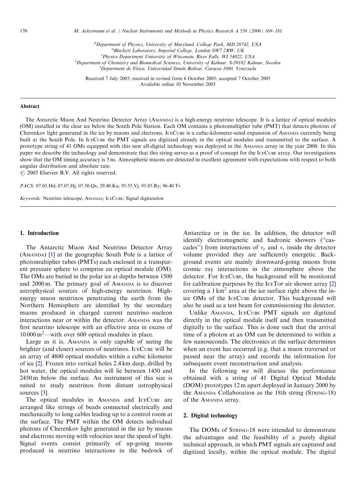170 M. Ackermann et al. / Nuclear Instruments and Methods in Physics Research A 556 (2006) 169–181

<sup>p</sup>Department of Physics, University of Maryland, College Park, MD 20742, USA <sup>q</sup> Blackett Laboratory, Imperial College, London SW7 2BW, UK <sup>r</sup> Physics Department University of Wisconsin, River Falls, WI 54022, USA <sup>s</sup>Department of Chemistry and Biomedical Sciences, University of Kalmar, S-39182 Kalmar, Sweden <sup>t</sup>Department de Física, Universidad Simón Bolívar, Caracas 1080, Venezuela

Received 7 July 2005; received in revised form 6 October 2005; accepted 7 October 2005 Available online 10 November 2005

## Abstract

The Antarctic Muon And Neutrino Detector Array (AMANDA) is a high-energy neutrino telescope. It is a lattice of optical modules (OM) installed in the clear ice below the South Pole Station. Each OM contains a photomultiplier tube (PMT) that detects photons of Cherenkov light generated in the ice by muons and electrons. ICECUBE is a cubic-kilometer-sized expansion of AMANDA currently being built at the South Pole. In ICECUBE the PMT signals are digitized already in the optical modules and transmitted to the surface. A prototype string of 41 OMs equipped with this new all-digital technology was deployed in the AMANDA array in the year 2000. In this paper we describe the technology and demonstrate that this string serves as a proof of concept for the ICECUBE array. Our investigations show that the OM timing accuracy is 5 ns. Atmospheric muons are detected in excellent agreement with expectations with respect to both angular distribution and absolute rate.

 $\odot$  2005 Elsevier B.V. All rights reserved.

PACS: 07.05.Hd; 07.07.Hj; 07.50.Qx; 29.40.Ka; 95.55.Vj; 95.85.Ry; 96.40.Tv

Keywords: Neutrino telescope; AMANDA; ICECUBE; Signal digitization

#### 1. Introduction

The Antarctic Muon And Neutrino Detector Array (AMANDA) [\[1\]](#page-12-0) at the geographic South Pole is a lattice of photomultiplier tubes (PMTs) each enclosed in a transparent pressure sphere to comprise an optical module (OM). The OMs are buried in the polar ice at depths between 1500 and 2000 m. The primary goal of AMANDA is to discover astrophysical sources of high-energy neutrinos. Highenergy muon neutrinos penetrating the earth from the Northern Hemisphere are identified by the secondary muons produced in charged current neutrino–nucleon interactions near or within the detector. AMANDA was the first neutrino telescope with an effective area in excess of 10 000 m2—with over 600 optical modules in place.

Large as it is, AMANDA is only capable of seeing the brighter (and closer) sources of neutrinos. ICECUBE will be an array of 4800 optical modules within a cubic kilometer of ice [\[2\]](#page-12-0). Frozen into vertical holes 2.4 km deep, drilled by hot water, the optical modules will lie between 1450 and 2450 m below the surface. An instrument of this size is suited to study neutrinos from distant astrophysical sources [\[3\].](#page-12-0)

The optical modules in AMANDA and ICECUBE are arranged like strings of beads connected electrically and mechanically to long cables leading up to a control room at the surface. The PMT within the OM detects individual photons of Cherenkov light generated in the ice by muons and electrons moving with velocities near the speed of light. Signal events consist primarily of up-going muons produced in neutrino interactions in the bedrock of Antarctica or in the ice. In addition, the detector will identify electromagnetic and hadronic showers (''cascades") from interactions of  $v_e$  and  $v_\tau$  inside the detector volume provided they are sufficiently energetic. Background events are mainly downward-going muons from cosmic ray interactions in the atmosphere above the detector. For ICECUBE, the background will be monitored for calibration purposes by the ICETOP air shower array [\[2\]](#page-12-0) covering a  $1 \text{ km}^2$  area at the ice surface right above the inice OMs of the ICECUBE detector. This background will also be used as a test beam for commissioning the detector.

Unlike AMANDA, ICECUBE PMT signals are digitized directly in the optical module itself and then transmitted digitally to the surface. This is done such that the arrival time of a photon at an OM can be determined to within a few nanoseconds. The electronics at the surface determines when an event has occurred (e.g. that a muon traversed or passed near the array) and records the information for subsequent event reconstruction and analysis.

In the following we will discuss the performance obtained with a string of 41 Digital Optical Module (DOM) prototypes 12 m apart deployed in January 2000 by the AMANDA Collaboration as the 18th string (STRING-18) of the AMANDA array.

## 2. Digital technology

The DOMs of STRING-18 were intended to demonstrate the advantages and the feasibility of a purely digital technical approach, in which PMT signals are captured and digitized locally, within the optical module. The digital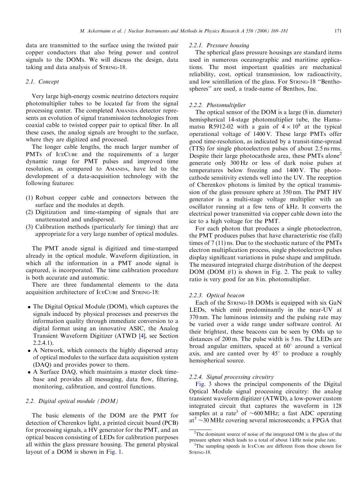data are transmitted to the surface using the twisted pair copper conductors that also bring power and control signals to the DOMs. We will discuss the design, data taking and data analysis of STRING-18.

# 2.1. Concept

Very large high-energy cosmic neutrino detectors require photomultiplier tubes to be located far from the signal processing center. The completed AMANDA detector represents an evolution of signal transmission technologies from coaxial cable to twisted copper pair to optical fiber. In all these cases, the analog signals are brought to the surface, where they are digitized and processed.

The longer cable lengths, the much larger number of PMTs of ICECUBE and the requirements of a larger dynamic range for PMT pulses and improved time resolution, as compared to AMANDA, have led to the development of a data-acquisition technology with the following features:

- (1) Robust copper cable and connectors between the surface and the modules at depth.
- (2) Digitization and time-stamping of signals that are unattenuated and undispersed.
- (3) Calibration methods (particularly for timing) that are appropriate for a very large number of optical modules.

The PMT anode signal is digitized and time-stamped already in the optical module. Waveform digitization, in which all the information in a PMT anode signal is captured, is incorporated. The time calibration procedure is both accurate and automatic.

There are three fundamental elements to the data acquisition architecture of ICECUBE and STRING-18:

- The Digital Optical Module (DOM), which captures the signals induced by physical processes and preserves the information quality through immediate conversion to a digital format using an innovative ASIC, the Analog Transient Waveform Digitizer (ATWD [\[4\]](#page-12-0), see Section 2.2.4.1).
- A Network, which connects the highly dispersed array of optical modules to the surface data acquisition system (DAQ) and provides power to them.
- A Surface DAQ, which maintains a master clock timebase and provides all messaging, data flow, filtering, monitoring, calibration, and control functions.

# 2.2. Digital optical module (DOM)

The basic elements of the DOM are the PMT for detection of Cherenkov light, a printed circuit board (PCB) for processing signals, a HV generator for the PMT, and an optical beacon consisting of LEDs for calibration purposes all within the glass pressure housing. The general physical layout of a DOM is shown in [Fig. 1](#page-3-0).

#### 2.2.1. Pressure housing

The spherical glass pressure housings are standard items used in numerous oceanographic and maritime applications. The most important qualities are mechanical reliability, cost, optical transmission, low radioactivity, and low scintillation of the glass. For STRING-18 ''Benthospheres'' are used, a trade-name of Benthos, Inc.

#### 2.2.2. Photomultiplier

The optical sensor of the DOM is a large (8 in. diameter) hemispherical 14-stage photomultiplier tube, the Hamamatsu R5912-02 with a gain of  $4 \times 10^8$  at the typical operational voltage of 1400 V. These large PMTs offer good time-resolution, as indicated by a transit-time-spread (TTS) for single photoelectron pulses of about 2.5 ns rms. Despite their large photocathode area, these PMTs alone<sup>2</sup> generate only 300 Hz or less of dark noise pulses at temperatures below freezing and 1400 V. The photocathode sensitivity extends well into the UV. The reception of Cherenkov photons is limited by the optical transmission of the glass pressure sphere at 350 nm. The PMT HV generator is a multi-stage voltage multiplier with an oscillator running at a few tens of kHz. It converts the electrical power transmitted via copper cable down into the ice to a high voltage for the PMT.

For each photon that produces a single photoelectron, the PMT produces pulses that have characteristic rise (fall) times of 7 (11) ns. Due to the stochastic nature of the PMTs electron multiplication process, single photoelectron pulses display significant variations in pulse shape and amplitude. The measured integrated charge distribution of the deepest DOM (DOM  $#1$ ) is shown in [Fig. 2](#page-3-0). The peak to valley ratio is very good for an 8 in. photomultiplier.

#### 2.2.3. Optical beacon

Each of the STRING-18 DOMs is equipped with six GaN LEDs, which emit predominantly in the near-UV at 370 nm. The luminous intensity and the pulsing rate may be varied over a wide range under software control. At their brightest, these beacons can be seen by OMs up to distances of 200 m. The pulse width is 5 ns. The LEDs are broad angular emitters, spaced at  $60^\circ$  around a vertical axis, and are canted over by  $45^\circ$  to produce a roughly hemispherical source.

#### 2.2.4. Signal processing circuitry

[Fig. 3](#page-4-0) shows the principal components of the Digital Optical Module signal processing circuitry: the analog transient waveform digitizer (ATWD), a low-power custom integrated circuit that captures the waveform in 128 samples at a rate<sup>3</sup> of  $\sim 600 \text{ MHz}$ ; a fast ADC operating at<sup>3</sup>  $\sim$ 30 MHz covering several microseconds; a FPGA that

 $2$ The dominant source of noise of the integrated OM is the glass of the pressure sphere which leads to a total of about 1 kHz noise pulse rate.

<sup>&</sup>lt;sup>3</sup>The sampling speeds in ICECUBE are different from those chosen for STRING-18.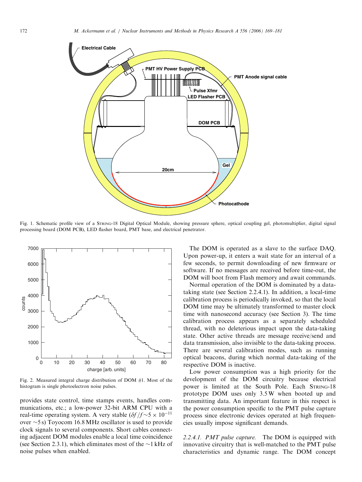<span id="page-3-0"></span>

Fig. 1. Schematic profile view of a STRING-18 Digital Optical Module, showing pressure sphere, optical coupling gel, photomultiplier, digital signal processing board (DOM PCB), LED flasher board, PMT base, and electrical penetrator.



Fig. 2. Measured integral charge distribution of DOM #1. Most of the histogram is single photoelectron noise pulses.

provides state control, time stamps events, handles communications, etc.; a low-power 32-bit ARM CPU with a real-time operating system. A very stable  $(\delta f / f \sim 5 \times 10^{-11})$ over  $\sim$ 5 s) Toyocom 16.8 MHz oscillator is used to provide clock signals to several components. Short cables connecting adjacent DOM modules enable a local time coincidence (see Section 2.3.1), which eliminates most of the  $\sim$ 1 kHz of noise pulses when enabled.

The DOM is operated as a slave to the surface DAQ. Upon power-up, it enters a wait state for an interval of a few seconds, to permit downloading of new firmware or software. If no messages are received before time-out, the DOM will boot from Flash memory and await commands.

Normal operation of the DOM is dominated by a datataking state (see Section 2.2.4.1). In addition, a local-time calibration process is periodically invoked, so that the local DOM time may be ultimately transformed to master clock time with nanosecond accuracy (see Section 3). The time calibration process appears as a separately scheduled thread, with no deleterious impact upon the data-taking state. Other active threads are message receive/send and data transmission, also invisible to the data-taking process. There are several calibration modes, such as running optical beacons, during which normal data-taking of the respective DOM is inactive.

Low power consumption was a high priority for the development of the DOM circuitry because electrical power is limited at the South Pole. Each STRING-18 prototype DOM uses only 3.5 W when booted up and transmitting data. An important feature in this respect is the power consumption specific to the PMT pulse capture process since electronic devices operated at high frequencies usually impose significant demands.

2.2.4.1. PMT pulse capture. The DOM is equipped with innovative circuitry that is well-matched to the PMT pulse characteristics and dynamic range. The DOM concept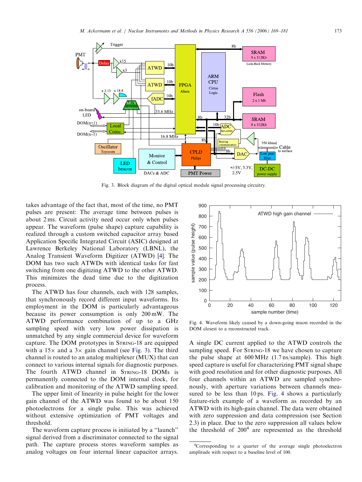<span id="page-4-0"></span>

Fig. 3. Block diagram of the digital optical module signal processing circuitry.

takes advantage of the fact that, most of the time, no PMT pulses are present: The average time between pulses is about 2 ms. Circuit activity need occur only when pulses appear. The waveform (pulse shape) capture capability is realized through a custom switched capacitor array based Application Specific Integrated Circuit (ASIC) designed at Lawrence Berkeley National Laboratory (LBNL), the Analog Transient Waveform Digitizer (ATWD) [\[4\].](#page-12-0) The DOM has two such ATWDs with identical tasks for fast switching from one digitizing ATWD to the other ATWD. This minimizes the dead time due to the digitization process.

The ATWD has four channels, each with 128 samples, that synchronously record different input waveforms. Its employment in the DOM is particularly advantageous because its power consumption is only 200 mW. The ATWD performance combination of up to a GHz sampling speed with very low power dissipation is unmatched by any single commercial device for waveform capture. The DOM prototypes in STRING-18 are equipped with a  $15\times$  and a  $3\times$  gain channel (see Fig. 3). The third channel is routed to an analog multiplexer (MUX) that can connect to various internal signals for diagnostic purposes. The fourth ATWD channel in STRING-18 DOMs is permanently connected to the DOM internal clock, for calibration and monitoring of the ATWD sampling speed.

The upper limit of linearity in pulse height for the lower gain channel of the ATWD was found to be about 150 photoelectrons for a single pulse. This was achieved without extensive optimization of PMT voltages and threshold.

The waveform capture process is initiated by a ''launch'' signal derived from a discriminator connected to the signal path. The capture process stores waveform samples as analog voltages on four internal linear capacitor arrays.



Fig. 4. Waveform likely caused by a down-going muon recorded in the DOM closest to a reconstructed track.

A single DC current applied to the ATWD controls the sampling speed. For STRING-18 we have chosen to capture the pulse shape at 600 MHz (1.7 ns/sample). This high speed capture is useful for characterizing PMT signal shape with good resolution and for other diagnostic purposes. All four channels within an ATWD are sampled synchronously, with aperture variations between channels measured to be less than 10 ps. Fig. 4 shows a particularly feature-rich example of a waveform as recorded by an ATWD with its high-gain channel. The data were obtained with zero suppression and data compression (see Section 2.3) in place. Due to the zero suppression all values below the threshold of  $200<sup>4</sup>$  are represented as the threshold

<sup>&</sup>lt;sup>4</sup>Corresponding to a quarter of the average single photoelectron amplitude with respect to a baseline level of 100.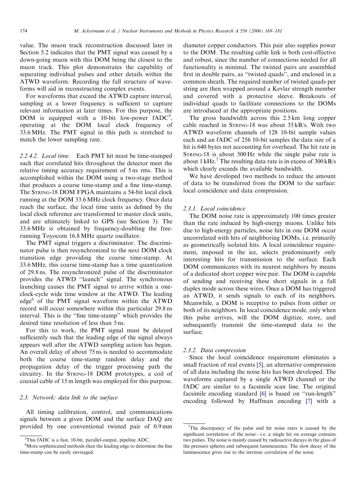value. The muon track reconstruction discussed later in Section 5.2 indicates that the PMT signal was caused by a down-going muon with this DOM being the closest to the muon track. This plot demonstrates the capability of separating individual pulses and other details within the ATWD waveform. Recording the full structure of waveforms will aid in reconstructing complex events.

For waveforms that exceed the ATWD capture interval, sampling at a lower frequency is sufficient to capture relevant information at later times. For this purpose, the DOM is equipped with a 10-bit low-power  $fADC^5$ , operating at the DOM local clock frequency of 33.6 MHz. The PMT signal in this path is stretched to match the lower sampling rate.

2.2.4.2. Local time. Each PMT hit must be time-stamped such that correlated hits throughout the detector meet the relative timing accuracy requirement of 5 ns rms. This is accomplished within the DOM using a two-stage method that produces a coarse time-stamp and a fine time-stamp. The STRING-18 DOM FPGA maintains a 54-bit local clock running at the DOM 33.6 MHz clock frequency. Once data reach the surface, the local time units as defined by the local clock reference are transformed to master clock units, and are ultimately linked to GPS (see Section 3). The 33.6 MHz is obtained by frequency-doubling the freerunning Toyocom 16.8 MHz quartz oscillator.

The PMT signal triggers a discriminator. The discriminator pulse is then resynchronized to the next DOM clock transition edge providing the coarse time-stamp. At 33.6 MHz, this coarse time-stamp has a time quantization of 29.8 ns. The resynchronized pulse of the discriminator provides the ATWD ''launch'' signal. The synchronous launching causes the PMT signal to arrive within a oneclock-cycle wide time window at the ATWD. The leading edge<sup>6</sup> of the PMT signal waveform within the ATWD record will occur somewhere within this particular 29.8 ns interval. This is the ''fine time-stamp'' which provides the desired time resolution of less than 5 ns.

For this to work, the PMT signal must be delayed sufficiently such that the leading edge of the signal always appears well after the ATWD sampling action has begun. An overall delay of about 75 ns is needed to accommodate both the coarse time-stamp random delay and the propagation delay of the trigger processing path the circuitry. In the STRING-18 DOM prototypes, a coil of coaxial cable of 15 m length was employed for this purpose.

## 2.3. Network: data link to the surface

All timing calibration, control, and communications signals between a given DOM and the surface DAQ are provided by one conventional twisted pair of 0.9 mm

diameter copper conductors. This pair also supplies power to the DOM. The resulting cable link is both cost-effective and robust, since the number of connections needed for all functionality is minimal. The twisted pairs are assembled first in double pairs, as ''twisted quads'', and enclosed in a common sheath. The required number of twisted quads per string are then wrapped around a Kevlar strength member and covered with a protective sleeve. Breakouts of individual quads to facilitate connections to the DOMs are introduced at the appropriate positions.

The gross bandwidth across this 2.5 km long copper cable reached in STRING-18 was about 35 kB/s. With two ATWD waveform channels of 128 10-bit sample values each and an fADC of 256 10-bit samples the data size of a hit is 640 bytes not accounting for overhead. The hit rate in STRING-18 is about 500 Hz while the single pulse rate is about 1 kHz.<sup>7</sup> The resulting data rate is in excess of  $300 \text{ kB/s}$ which clearly exceeds the available bandwidth.

We have developed two methods to reduce the amount of data to be transferred from the DOM to the surface: local coincidence and data compression.

## 2.3.1. Local coincidence

The DOM noise rate is approximately 100 times greater than the rate induced by high-energy muons. Unlike hits due to high-energy particles, noise hits in one DOM occur uncorrelated with hits of neighboring DOMs, i.e. primarily as geometrically isolated hits. A local coincidence requirement, imposed in the ice, selects predominantly only interesting hits for transmission to the surface. Each DOM communicates with its nearest neighbors by means of a dedicated short copper wire pair. The DOM is capable of sending and receiving these short signals in a full duplex mode across these wires. Once a DOM has triggered an ATWD, it sends signals to each of its neighbors. Meanwhile, a DOM is receptive to pulses from either or both of its neighbors. In local coincidence mode, only when this pulse arrives, will the DOM digitize, store, and subsequently transmit the time-stamped data to the surface.

#### 2.3.2. Data compression

Since the local coincidence requirement eliminates a small fraction of real events [\[5\],](#page-12-0) an alternative compression of all data including the noise hits has been developed. The waveforms captured by a single ATWD channel or the fADC are similar to a facsimile scan line. The original facsimile encoding standard [\[6\]](#page-12-0) is based on ''run-length'' encoding followed by Huffman encoding [\[7\]](#page-12-0) with a

<sup>5</sup> This fADC is a fast, 10-bit, parallel-output, pipeline ADC.

<sup>&</sup>lt;sup>6</sup>More sophisticated methods than the leading edge to determine the fine time-stamp can be easily envisaged.

<sup>&</sup>lt;sup>7</sup>The discrepancy of the pulse and hit noise rates is caused by the significant correlation of the noise—i.e. a single hit on average contains two pulses. The noise is mainly caused by radioactive decays in the glass of the pressure spheres and subsequent luminescence. The slow decay of the luminescence gives rise to the intrinsic correlation of the noise.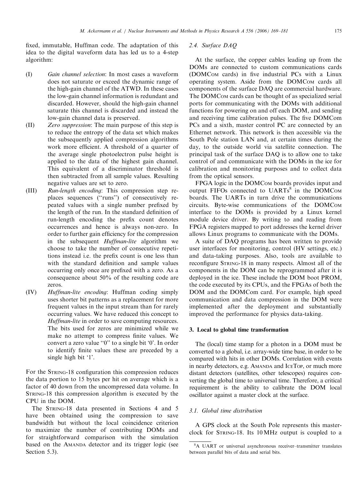fixed, immutable, Huffman code. The adaptation of this idea to the digital waveform data has led us to a 4-step algorithm:

- (I) Gain channel selection: In most cases a waveform does not saturate or exceed the dynamic range of the high-gain channel of the ATWD. In these cases the low-gain channel information is redundant and discarded. However, should the high-gain channel saturate this channel is discarded and instead the low-gain channel data is preserved.
- (II) Zero suppression: The main purpose of this step is to reduce the entropy of the data set which makes the subsequently applied compression algorithms work more efficient. A threshold of a quarter of the average single photoelectron pulse height is applied to the data of the highest gain channel. This equivalent of a discriminator threshold is then subtracted from all sample values. Resulting negative values are set to zero.
- (III) Run-length encoding: This compression step replaces sequences (''runs'') of consecutively repeated values with a single number prefixed by the length of the run. In the standard definition of run-length encoding the prefix count denotes occurrences and hence is always non-zero. In order to further gain efficiency for the compression in the subsequent *Huffman-lite* algorithm we choose to take the number of consecutive repetitions instead i.e. the prefix count is one less than with the standard definition and sample values occurring only once are prefixed with a zero. As a consequence about 50% of the resulting code are zeros.
- (IV) Huffman-lite encoding: Huffman coding simply uses shorter bit patterns as a replacement for more frequent values in the input stream than for rarely occurring values. We have reduced this concept to Huffman-lite in order to save computing resources. The bits used for zeros are minimized while we make no attempt to compress finite values. We convert a zero value ''0'' to a single bit '0'. In order to identify finite values these are preceded by a single high bit '1'.

For the STRING-18 configuration this compression reduces the data portion to 15 bytes per hit on average which is a factor of 40 down from the uncompressed data volume. In STRING-18 this compression algorithm is executed by the CPU in the DOM.

The STRING-18 data presented in Sections 4 and 5 have been obtained using the compression to save bandwidth but without the local coincidence criterion to maximize the number of contributing DOMs and for straightforward comparison with the simulation based on the AMANDA detector and its trigger logic (see Section 5.3).

## 2.4. Surface DAQ

At the surface, the copper cables leading up from the DOMs are connected to custom communications cards (DOMCOM cards) in five industrial PCs with a Linux operating system. Aside from the DOMCOM cards all components of the surface DAQ are commercial hardware. The DOMCOM cards can be thought of as specialized serial ports for communicating with the DOMs with additional functions for powering on and off each DOM, and sending and receiving time calibration pulses. The five DOMCom PCs and a sixth, master control PC are connected by an Ethernet network. This network is then accessible via the South Pole station LAN and, at certain times during the day, to the outside world via satellite connection. The principal task of the surface DAQ is to allow one to take control of and communicate with the DOMs in the ice for calibration and monitoring purposes and to collect data from the optical sensors.

FPGA logic in the DOMCOM boards provides input and output FIFOs connected to  $UARTs^8$  in the DOMCOM boards. The UARTs in turn drive the communications circuits. Byte-wise communications of the DOMCOM interface to the DOMs is provided by a Linux kernel module device driver. By writing to and reading from FPGA registers mapped to port addresses the kernel driver allows Linux programs to communicate with the DOMs.

A suite of DAQ programs has been written to provide user interfaces for monitoring, control (HV settings, etc.) and data-taking purposes. Also, tools are available to reconfigure STRING-18 in many respects. Almost all of the components in the DOM can be reprogrammed after it is deployed in the ice. These include the DOM boot PROM, the code executed by its CPUs, and the FPGAs of both the DOM and the DOMCom card. For example, high speed communication and data compression in the DOM were implemented after the deployment and substantially improved the performance for physics data-taking.

## 3. Local to global time transformation

The (local) time stamp for a photon in a DOM must be converted to a global, i.e. array-wide time base, in order to be compared with hits in other DOMs. Correlation with events in nearby detectors, e.g. AMANDA and ICETOP, or much more distant detectors (satellites, other telescopes) requires converting the global time to universal time. Therefore, a critical requirement is the ability to calibrate the DOM local oscillator against a master clock at the surface.

# 3.1. Global time distribution

A GPS clock at the South Pole represents this masterclock for STRING-18. Its 10 MHz output is coupled to a

<sup>8</sup> A UART or universal asynchronous receiver–transmitter translates between parallel bits of data and serial bits.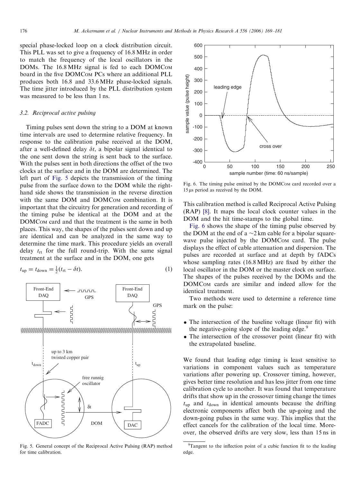special phase-locked loop on a clock distribution circuit. This PLL was set to give a frequency of 16.8 MHz in order to match the frequency of the local oscillators in the DOMs. The 16.8 MHz signal is fed to each DOMCOM board in the five DOMCOM PCs where an additional PLL produces both 16.8 and 33.6 MHz phase-locked signals. The time jitter introduced by the PLL distribution system was measured to be less than 1 ns.

## 3.2. Reciprocal active pulsing

Timing pulses sent down the string to a DOM at known time intervals are used to determine relative frequency. In response to the calibration pulse received at the DOM, after a well-defined delay  $\delta t$ , a bipolar signal identical to the one sent down the string is sent back to the surface. With the pulses sent in both directions the offset of the two clocks at the surface and in the DOM are determined. The left part of Fig. 5 depicts the transmission of the timing pulse from the surface down to the DOM while the righthand side shows the transmission in the reverse direction with the same DOM and DOMCOM combination. It is important that the circuitry for generation and recording of the timing pulse be identical at the DOM and at the DOMCOM card and that the treatment is the same in both places. This way, the shapes of the pulses sent down and up are identical and can be analyzed in the same way to determine the time mark. This procedure yields an overall delay  $t_{rt}$  for the full round-trip. With the same signal treatment at the surface and in the DOM, one gets

$$
t_{\rm up} = t_{\rm down} = \frac{1}{2}(t_{\rm rt} - \delta t). \tag{1}
$$



Fig. 5. General concept of the Reciprocal Active Pulsing (RAP) method for time calibration.



Fig. 6. The timing pulse emitted by the DOMCOM card recorded over a  $15 \,\mu s$  period as received by the DOM.

This calibration method is called Reciprocal Active Pulsing (RAP) [\[8\].](#page-12-0) It maps the local clock counter values in the DOM and the hit time-stamps to the global time.

Fig. 6 shows the shape of the timing pulse observed by the DOM at the end of a  $\sim$ 2 km cable for a bipolar squarewave pulse injected by the DOMCOM card. The pulse displays the effect of cable attenuation and dispersion. The pulses are recorded at surface and at depth by fADCs whose sampling rates (16.8 MHz) are fixed by either the local oscillator in the DOM or the master clock on surface. The shapes of the pulses received by the DOMs and the DOMCOM cards are similar and indeed allow for the identical treatment.

Two methods were used to determine a reference time mark on the pulse:

- The intersection of the baseline voltage (linear fit) with the negative-going slope of the leading edge.<sup>9</sup>
- The intersection of the crossover point (linear fit) with the extrapolated baseline.

We found that leading edge timing is least sensitive to variations in component values such as temperature variations after powering up. Crossover timing, however, gives better time resolution and has less jitter from one time calibration cycle to another. It was found that temperature drifts that show up in the crossover timing change the times  $t_{\text{up}}$  and  $t_{\text{down}}$  in identical amounts because the drifting electronic components affect both the up-going and the down-going pulses in the same way. This implies that the effect cancels for the calibration of the local time. Moreover, the observed drifts are very slow, less than 15 ns in

<sup>&</sup>lt;sup>9</sup>Tangent to the inflection point of a cubic function fit to the leading edge.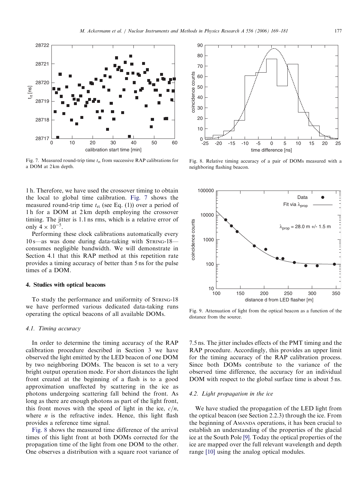<span id="page-8-0"></span>

Fig. 7. Measured round-trip time  $t_{rt}$  from successive RAP calibrations for a DOM at 2 km depth.

1 h. Therefore, we have used the crossover timing to obtain the local to global time calibration. Fig. 7 shows the measured round-trip time  $t_{rt}$  (see Eq. (1)) over a period of 1 h for a DOM at 2 km depth employing the crossover timing. The jitter is 1.1 ns rms, which is a relative error of only  $4 \times 10^{-5}$ .

Performing these clock calibrations automatically every 10 s—as was done during data-taking with STRING-18 consumes negligible bandwidth. We will demonstrate in Section 4.1 that this RAP method at this repetition rate provides a timing accuracy of better than 5 ns for the pulse times of a DOM.

## 4. Studies with optical beacons

To study the performance and uniformity of STRING-18 we have performed various dedicated data-taking runs operating the optical beacons of all available DOMs.

#### 4.1. Timing accuracy

In order to determine the timing accuracy of the RAP calibration procedure described in Section 3 we have observed the light emitted by the LED beacon of one DOM by two neighboring DOMs. The beacon is set to a very bright output operation mode. For short distances the light front created at the beginning of a flash is to a good approximation unaffected by scattering in the ice as photons undergoing scattering fall behind the front. As long as there are enough photons as part of the light front, this front moves with the speed of light in the ice,  $c/n$ , where  $n$  is the refractive index. Hence, this light flash provides a reference time signal.

Fig. 8 shows the measured time difference of the arrival times of this light front at both DOMs corrected for the propagation time of the light from one DOM to the other. One observes a distribution with a square root variance of



Fig. 8. Relative timing accuracy of a pair of DOMs measured with a neighboring flashing beacon.



Fig. 9. Attenuation of light from the optical beacon as a function of the distance from the source.

7.5 ns. The jitter includes effects of the PMT timing and the RAP procedure. Accordingly, this provides an upper limit for the timing accuracy of the RAP calibration process. Since both DOMs contribute to the variance of the observed time difference, the accuracy for an individual DOM with respect to the global surface time is about 5 ns.

# 4.2. Light propagation in the ice

We have studied the propagation of the LED light from the optical beacon (see Section 2.2.3) through the ice. From the beginning of AMANDA operations, it has been crucial to establish an understanding of the properties of the glacial ice at the South Pole [\[9\].](#page-12-0) Today the optical properties of the ice are mapped over the full relevant wavelength and depth range [\[10\]](#page-12-0) using the analog optical modules.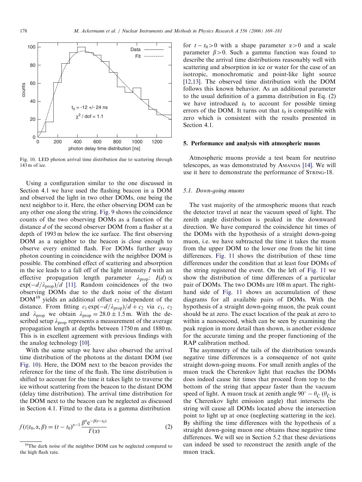

Fig. 10. LED photon arrival time distribution due to scattering through 143 m of ice.

Using a configuration similar to the one discussed in Section 4.1 we have used the flashing beacon in a DOM and observed the light in two other DOMs, one being the next neighbor to it. Here, the other observing DOM can be any other one along the string. [Fig. 9](#page-8-0) shows the coincidence counts of the two observing DOMs as a function of the distance d of the second observer DOM from a flasher at a depth of 1993 m below the ice surface. The first observing DOM as a neighbor to the beacon is close enough to observe every emitted flash. For DOMs further away photon counting in coincidence with the neighbor DOM is possible. The combined effect of scattering and absorption in the ice leads to a fall off of the light intensity  $I$  with an effective propagation length parameter  $\lambda_{\text{prop}}$ :  $I(d) \propto$  $\exp(-d/\lambda_{\text{prop}})/d$  [\[11\]](#page-12-0). Random coincidences of the two observing DOMs due to the dark noise of the distant  $DOM^{10}$  yields an additional offset  $c_2$  independent of the distance. From fitting  $c_1 \exp(-d/\lambda_{\text{prop}})/d + c_2$  via  $c_1$ ,  $c_2$ and  $\lambda_{\text{prop}}$  we obtain  $\lambda_{\text{prop}} = 28.0 \pm 1.5 \,\text{m}$ . With the described setup  $\lambda_{\text{prop}}$  represents a measurement of the average propagation length at depths between 1750 m and 1880 m. This is in excellent agreement with previous findings with the analog technology [\[10\].](#page-12-0)

With the same setup we have also observed the arrival time distribution of the photons at the distant DOM (see Fig. 10). Here, the DOM next to the beacon provides the reference for the time of the flash. The time distribution is shifted to account for the time it takes light to traverse the ice without scattering from the beacon to the distant DOM (delay time distribution). The arrival time distribution for the DOM next to the beacon can be neglected as discussed in Section 4.1. Fitted to the data is a gamma distribution

$$
f(t|t_0, \alpha, \beta) = (t - t_0)^{\alpha - 1} \frac{\beta^{\alpha} e^{-\beta(t - t_0)}}{\Gamma(\alpha)}
$$
 (2)

for  $t - t_0 > 0$  with a shape parameter  $\alpha > 0$  and a scale parameter  $\beta > 0$ . Such a gamma function was found to describe the arrival time distributions reasonably well with scattering and absorption in ice or water for the case of an isotropic, monochromatic and point-like light source [\[12,13\].](#page-12-0) The observed time distribution with the DOM follows this known behavior. As an additional parameter to the usual definition of a gamma distribution in Eq. (2) we have introduced  $t_0$  to account for possible timing errors of the DOM. It turns out that  $t_0$  is compatible with zero which is consistent with the results presented in Section 4.1.

## 5. Performance and analysis with atmospheric muons

Atmospheric muons provide a test beam for neutrino telescopes, as was demonstrated by AMANDA [\[14\].](#page-12-0) We will use it here to demonstrate the performance of STRING-18.

# 5.1. Down-going muons

The vast majority of the atmospheric muons that reach the detector travel at near the vacuum speed of light. The zenith angle distribution is peaked in the downward direction. We have compared the coincidence hit times of the DOMs with the hypothesis of a straight down-going muon, i.e. we have subtracted the time it takes the muon from the upper DOM to the lower one from the hit time differences. [Fig. 11](#page-10-0) shows the distribution of these time differences under the condition that at least four DOMs of the string registered the event. On the left of [Fig. 11](#page-10-0) we show the distribution of time differences of a particular pair of DOMs. The two DOMs are 108 m apart. The righthand side of [Fig. 11](#page-10-0) shows an accumulation of these diagrams for all available pairs of DOMs. With the hypothesis of a straight down-going muon, the peak count should be at zero. The exact location of the peak at zero to within a nanosecond, which can be seen by examining the peak region in more detail than shown, is another evidence for the accurate timing and the proper functioning of the RAP calibration method.

The asymmetry of the tails of the distribution towards negative time differences is a consequence of not quite straight down-going muons. For small zenith angles of the muon track the Cherenkov light that reaches the DOMs does indeed cause hit times that proceed from top to the bottom of the string that appear faster than the vacuum speed of light. A muon track at zenith angle  $90^\circ - \theta_{\tilde{C}}$  ( $\theta_{\tilde{C}}$  is the Cherenkov light emission angle) that intersects the string will cause all DOMs located above the intersection point to light up at once (neglecting scattering in the ice). By shifting the time differences with the hypothesis of a straight down-going muon one obtains these negative time differences. We will see in Section 5.2 that these deviations can indeed be used to reconstruct the zenith angle of the muon track.

<sup>&</sup>lt;sup>10</sup>The dark noise of the neighbor DOM can be neglected compared to the high flash rate.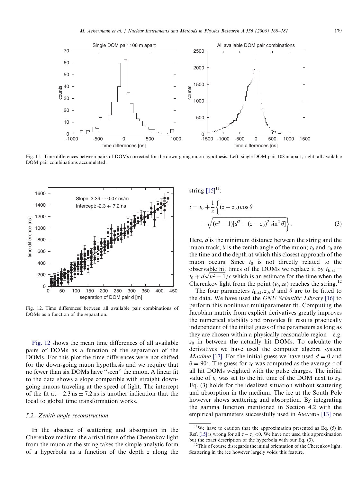<span id="page-10-0"></span>

Fig. 11. Time differences between pairs of DOMs corrected for the down-going muon hypothesis. Left: single DOM pair 108 m apart, right: all available DOM pair combinations accumulated.



Fig. 12. Time differences between all available pair combinations of DOMs as a function of the separation.

Fig. 12 shows the mean time differences of all available pairs of DOMs as a function of the separation of the DOMs. For this plot the time differences were not shifted for the down-going muon hypothesis and we require that no fewer than six DOMs have ''seen'' the muon. A linear fit to the data shows a slope compatible with straight downgoing muons traveling at the speed of light. The intercept of the fit at  $-2.3$  ns  $\pm$  7.2 ns is another indication that the local to global time transformation works.

# 5.2. Zenith angle reconstruction

In the absence of scattering and absorption in the Cherenkov medium the arrival time of the Cherenkov light from the muon at the string takes the simple analytic form of a hyperbola as a function of the depth z along the

string 
$$
[15]^{11}
$$
:  
\n
$$
t = t_0 + \frac{1}{c} \left\{ (z - z_0) \cos \theta + \sqrt{(n^2 - 1)[d^2 + (z - z_0)^2 \sin^2 \theta]} \right\}.
$$
\n(3)

Here, *d* is the minimum distance between the string and the muon track;  $\theta$  is the zenith angle of the muon;  $t_0$  and  $z_0$  are the time and the depth at which this closest approach of the muon occurs. Since  $t_0$  is not directly related to the observable hit times of the DOMs we replace it by  $t_{\text{first}} =$ observable nit times of the DOMs we replace it by  $t_{\text{first}} = t_0 + d\sqrt{n^2 - 1}/c$  which is an estimate for the time when the Cherenkov light from the point  $(t_0, z_0)$  reaches the string.<sup>12</sup>

The four parameters  $t_{\text{first}}$ ,  $z_0$ , d and  $\theta$  are to be fitted to the data. We have used the GNU Scientific Library [\[16\]](#page-12-0) to perform this nonlinear multiparameter fit. Computing the Jacobian matrix from explicit derivatives greatly improves the numerical stability and provides fit results practically independent of the initial guess of the parameters as long as they are chosen within a physically reasonable region—e.g.  $z_0$  in between the actually hit DOMs. To calculate the derivatives we have used the computer algebra system *Maxima* [\[17\].](#page-12-0) For the initial guess we have used  $d = 0$  and  $\theta = 90^{\circ}$ . The guess for  $z_0$  was computed as the average z of all hit DOMs weighted with the pulse charges. The initial value of  $t_0$  was set to the hit time of the DOM next to  $z_0$ . Eq. (3) holds for the idealized situation without scattering and absorption in the medium. The ice at the South Pole however shows scattering and absorption. By integrating the gamma function mentioned in Section 4.2 with the empirical parameters successfully used in AMANDA [\[13\]](#page-12-0) one

 $11$ We have to caution that the approximation presented as Eq. (5) in Ref. [\[15\]](#page-12-0) is wrong for all  $z - z_0 < 0$ . We have not used this approximation but the exact description of the hyperbola with our Eq. (3).

<sup>&</sup>lt;sup>12</sup>This of course disregards the initial orientation of the Cherenkov light. Scattering in the ice however largely voids this feature.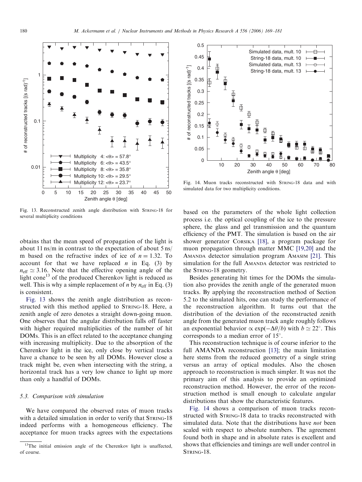

Fig. 13. Reconstructed zenith angle distribution with STRING-18 for several multiplicity conditions

obtains that the mean speed of propagation of the light is about 11 ns/m in contrast to the expectation of about 5 ns/ m based on the refractive index of ice of  $n = 1.32$ . To account for that we have replaced *n* in Eq. (3) by  $n_{\text{eff}} \simeq 3.16$ . Note that the effective opening angle of the light cone<sup>13</sup> of the produced Cherenkov light is reduced as well. This is why a simple replacement of *n* by  $n_{\text{eff}}$  in Eq. (3) is consistent.

Fig. 13 shows the zenith angle distribution as reconstructed with this method applied to STRING-18. Here, a zenith angle of zero denotes a straight down-going muon. One observes that the angular distribution falls off faster with higher required multiplicities of the number of hit DOMs. This is an effect related to the acceptance changing with increasing multiplicity. Due to the absorption of the Cherenkov light in the ice, only close by vertical tracks have a chance to be seen by all DOMs. However close a track might be, even when intersecting with the string, a horizontal track has a very low chance to light up more than only a handful of DOMs.

## 5.3. Comparison with simulation

We have compared the observed rates of muon tracks with a detailed simulation in order to verify that STRING-18 indeed performs with a homogeneous efficiency. The acceptance for muon tracks agrees with the expectations



Fig. 14. Muon tracks reconstructed with STRING-18 data and with simulated data for two multiplicity conditions.

based on the parameters of the whole light collection process i.e. the optical coupling of the ice to the pressure sphere, the glass and gel transmission and the quantum efficiency of the PMT. The simulation is based on the air shower generator CORSIKA [\[18\],](#page-12-0) a program package for muon propagation through matter MMC [\[19,20\]](#page-12-0) and the AMANDA detector simulation program AMASIM [\[21\].](#page-12-0) This simulation for the full AMANDA detector was restricted to the STRING-18 geometry.

Besides generating hit times for the DOMs the simulation also provides the zenith angle of the generated muon tracks. By applying the reconstruction method of Section 5.2 to the simulated hits, one can study the performance of the reconstruction algorithm. It turns out that the distribution of the deviation of the reconstructed zenith angle from the generated muon track angle roughly follows an exponential behavior  $\propto \exp(-\Delta\theta/b)$  with  $b \simeq 22^{\circ}$ . This corresponds to a median error of 15°.

This reconstruction technique is of course inferior to the full AMANDA reconstruction [\[13\]](#page-12-0); the main limitation here stems from the reduced geometry of a single string versus an array of optical modules. Also the chosen approach to reconstruction is much simpler. It was not the primary aim of this analysis to provide an optimized reconstruction method. However, the error of the reconstruction method is small enough to calculate angular distributions that show the characteristic features.

Fig. 14 shows a comparison of muon tracks reconstructed with STRING-18 data to tracks reconstructed with simulated data. Note that the distributions have *not* been scaled with respect to absolute numbers. The agreement found both in shape and in absolute rates is excellent and shows that efficiencies and timings are well under control in STRING-18.

<sup>&</sup>lt;sup>13</sup>The initial emission angle of the Cherenkov light is unaffected, of course.